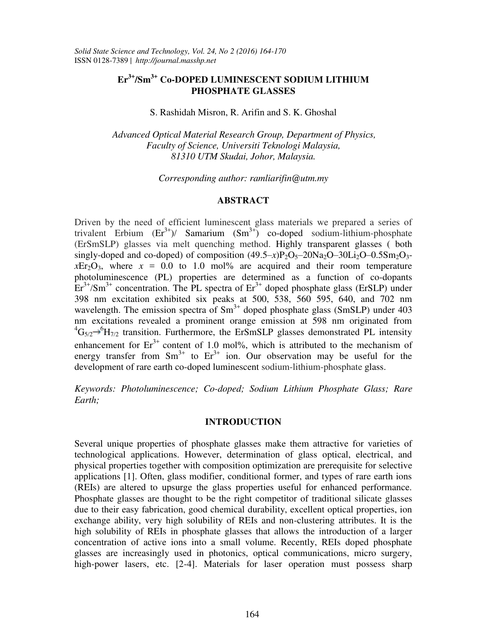# **Er3+/Sm3+ Co-DOPED LUMINESCENT SODIUM LITHIUM PHOSPHATE GLASSES**

S. Rashidah Misron, R. Arifin and S. K. Ghoshal

*Advanced Optical Material Research Group, Department of Physics, Faculty of Science, Universiti Teknologi Malaysia, 81310 UTM Skudai, Johor, Malaysia.* 

*Corresponding author: ramliarifin@utm.my* 

# **ABSTRACT**

Driven by the need of efficient luminescent glass materials we prepared a series of trivalent Erbium  $(Er^{3+})$ / Samarium  $(Sm^{3+})$  co-doped sodium-lithium-phosphate (ErSmSLP) glasses via melt quenching method. Highly transparent glasses ( both singly-doped and co-doped) of composition  $(49.5-x)P_2O_5-20Na_2O-30Li_2O-0.5Sm_2O_3$  $xEr_2O_3$ , where  $x = 0.0$  to 1.0 mol% are acquired and their room temperature photoluminescence (PL) properties are determined as a function of co-dopants  $Er<sup>3+</sup>/Sm<sup>3+</sup> concentration. The PL spectra of Er<sup>3+</sup> doped phosphate glass (ErSLP) under$ 398 nm excitation exhibited six peaks at 500, 538, 560 595, 640, and 702 nm wavelength. The emission spectra of  $Sm<sup>3+</sup>$  doped phosphate glass (SmSLP) under 403 nm excitations revealed a prominent orange emission at 598 nm originated from  ${}^{4}G_{5/2} \rightarrow {}^{6}H_{7/2}$  transition. Furthermore, the ErSmSLP glasses demonstrated PL intensity enhancement for  $Er<sup>3+</sup>$  content of 1.0 mol%, which is attributed to the mechanism of energy transfer from  $Sm^{3+}$  to  $Er^{3+}$  ion. Our observation may be useful for the development of rare earth co-doped luminescent sodium-lithium-phosphate glass.

*Keywords: Photoluminescence; Co-doped; Sodium Lithium Phosphate Glass; Rare Earth;* 

## **INTRODUCTION**

Several unique properties of phosphate glasses make them attractive for varieties of technological applications. However, determination of glass optical, electrical, and physical properties together with composition optimization are prerequisite for selective applications [1]. Often, glass modifier, conditional former, and types of rare earth ions (REIs) are altered to upsurge the glass properties useful for enhanced performance. Phosphate glasses are thought to be the right competitor of traditional silicate glasses due to their easy fabrication, good chemical durability, excellent optical properties, ion exchange ability, very high solubility of REIs and non-clustering attributes. It is the high solubility of REIs in phosphate glasses that allows the introduction of a larger concentration of active ions into a small volume. Recently, REIs doped phosphate glasses are increasingly used in photonics, optical communications, micro surgery, high-power lasers, etc. [2-4]. Materials for laser operation must possess sharp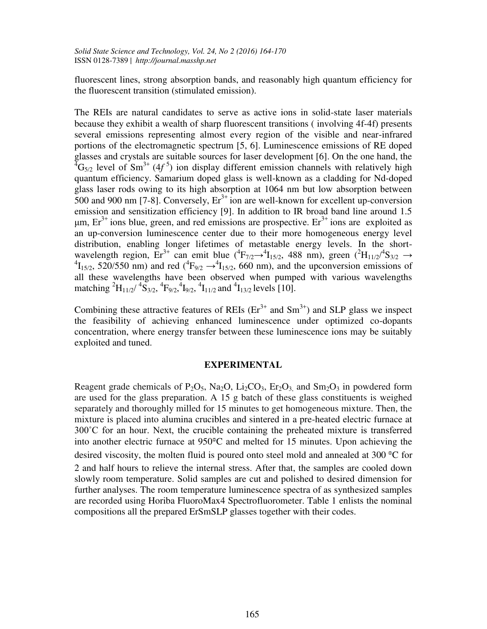fluorescent lines, strong absorption bands, and reasonably high quantum efficiency for the fluorescent transition (stimulated emission).

The REIs are natural candidates to serve as active ions in solid-state laser materials because they exhibit a wealth of sharp fluorescent transitions ( involving 4f-4f) presents several emissions representing almost every region of the visible and near-infrared portions of the electromagnetic spectrum [5, 6]. Luminescence emissions of RE doped glasses and crystals are suitable sources for laser development [6]. On the one hand, the  ${}^{4}G_{5/2}$  level of Sm<sup>3+</sup> (4f<sup>5</sup>) ion display different emission channels with relatively high quantum efficiency. Samarium doped glass is well-known as a cladding for Nd-doped glass laser rods owing to its high absorption at 1064 nm but low absorption between 500 and 900 nm [7-8]. Conversely,  $Er^{3+}$  ion are well-known for excellent up-conversion emission and sensitization efficiency [9]. In addition to IR broad band line around 1.5 μm,  $Er<sup>3+</sup>$  ions blue, green, and red emissions are prospective.  $Er<sup>3+</sup>$  ions are exploited as an up-conversion luminescence center due to their more homogeneous energy level distribution, enabling longer lifetimes of metastable energy levels. In the shortwavelength region,  $\text{Er}^{3+}$  can emit blue  $({}^{4}F_{7/2} \rightarrow {}^{4}I_{15/2}$ , 488 nm), green  $({}^{2}H_{11/2}/{}^{4}S_{3/2} \rightarrow {}^{4}I_{15/2}$ , 520/550 nm) and red  $({}^{4}F_{9/2} \rightarrow {}^{4}I_{15/2}$ , 660 nm), and the upconversion emissions of all these wavelengths have been observed when pumped with various wavelengths matching <sup>2</sup>H<sub>11/2</sub>/ <sup>4</sup>S<sub>3/2</sub>, <sup>4</sup>F<sub>9/2</sub>, <sup>4</sup>I<sub>9/2</sub>, <sup>4</sup>I<sub>11/2</sub> and <sup>4</sup>I<sub>13/2</sub> levels [10].

Combining these attractive features of REIs  $(Er^{3+})$  and Sm<sup>3+</sup>) and SLP glass we inspect the feasibility of achieving enhanced luminescence under optimized co-dopants concentration, where energy transfer between these luminescence ions may be suitably exploited and tuned.

#### **EXPERIMENTAL**

Reagent grade chemicals of P<sub>2</sub>O<sub>5</sub>, Na<sub>2</sub>O, Li<sub>2</sub>CO<sub>3</sub>, Er<sub>2</sub>O<sub>3</sub> and Sm<sub>2</sub>O<sub>3</sub> in powdered form are used for the glass preparation. A 15 g batch of these glass constituents is weighed separately and thoroughly milled for 15 minutes to get homogeneous mixture. Then, the mixture is placed into alumina crucibles and sintered in a pre-heated electric furnace at 300˚C for an hour. Next, the crucible containing the preheated mixture is transferred into another electric furnace at  $950^{\circ}$ C and melted for 15 minutes. Upon achieving the desired viscosity, the molten fluid is poured onto steel mold and annealed at 300 °C for 2 and half hours to relieve the internal stress. After that, the samples are cooled down slowly room temperature. Solid samples are cut and polished to desired dimension for further analyses. The room temperature luminescence spectra of as synthesized samples are recorded using Horiba FluoroMax4 Spectrofluorometer. Table 1 enlists the nominal compositions all the prepared ErSmSLP glasses together with their codes.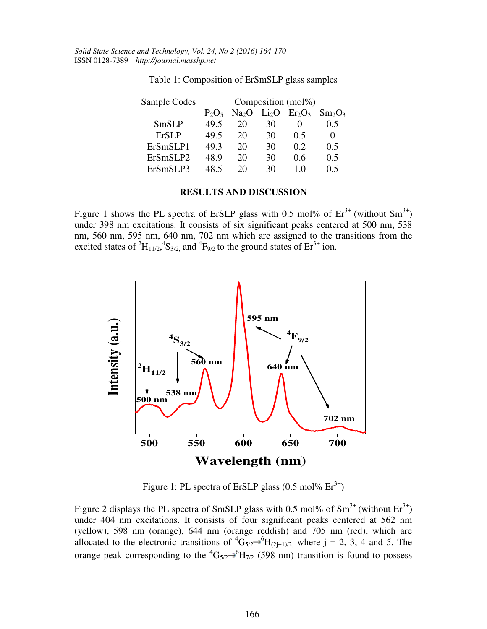| Sample Codes | Composition (mol%) |                   |                   |                                |           |
|--------------|--------------------|-------------------|-------------------|--------------------------------|-----------|
|              | $P_2O_5$           | Na <sub>2</sub> O | Li <sub>2</sub> O | Er <sub>2</sub> O <sub>3</sub> | $Sm_2O_3$ |
| <b>SmSLP</b> | 49.5               | 20                | 30                |                                | 0.5       |
| <b>ErSLP</b> | 49.5               | 20                | 30                | 0.5                            |           |
| ErSmSLP1     | 49.3               | 20                | 30                | 0.2                            | 0.5       |
| ErSmSLP2     | 48.9               | 20                | 30                | 0.6                            | 0.5       |
| ErSmSLP3     | 48 5               | 20                | 30                | 10                             | 0.5       |

Table 1: Composition of ErSmSLP glass samples

## **RESULTS AND DISCUSSION**

Figure 1 shows the PL spectra of ErSLP glass with 0.5 mol% of  $Er^{3+}$  (without  $Sm^{3+}$ ) under 398 nm excitations. It consists of six significant peaks centered at 500 nm, 538 nm, 560 nm, 595 nm, 640 nm, 702 nm which are assigned to the transitions from the excited states of  ${}^{2}H_{11/2}$ ,  ${}^{4}S_{3/2}$ , and  ${}^{4}F_{9/2}$  to the ground states of Er<sup>3+</sup> ion.



Figure 1: PL spectra of ErSLP glass  $(0.5 \text{ mol\%} \text{ Er}^{3+})$ 

Figure 2 displays the PL spectra of SmSLP glass with 0.5 mol% of  $Sm^{3+}$  (without  $Er^{3+}$ ) under 404 nm excitations. It consists of four significant peaks centered at 562 nm (yellow), 598 nm (orange), 644 nm (orange reddish) and 705 nm (red), which are allocated to the electronic transitions of  ${}^{4}G_{5/2} \rightarrow {}^{6}H_{(2j+1)/2}$ , where j = 2, 3, 4 and 5. The orange peak corresponding to the  ${}^{4}G_{5/2} \rightarrow {}^{6}H_{7/2}$  (598 nm) transition is found to possess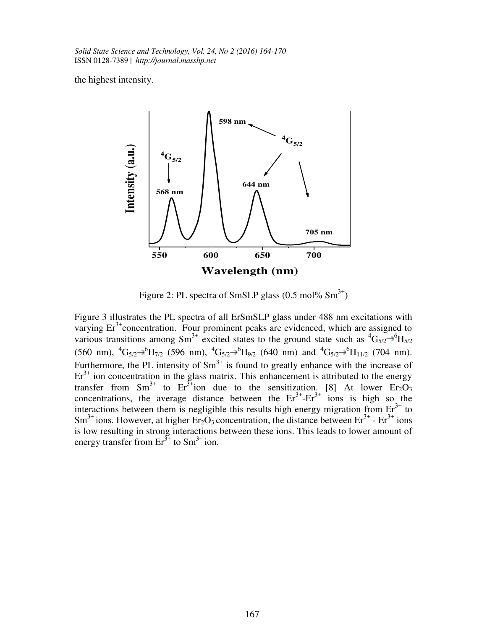the highest intensity.



Figure 2: PL spectra of SmSLP glass  $(0.5 \text{ mol\% Sm}^{3+})$ 

Figure 3 illustrates the PL spectra of all ErSmSLP glass under 488 nm excitations with varying  $Er<sup>3+</sup>$  concentration. Four prominent peaks are evidenced, which are assigned to various transitions among Sm<sup>3+</sup> excited states to the ground state such as  ${}^{4}G_{5/2} \rightarrow {}^{6}H_{5/2}$  $(560 \text{ nm})$ ,  ${}^4\text{G}_{5/2} \rightarrow {}^6\text{H}_{7/2}$  (596 nm),  ${}^4\text{G}_{5/2} \rightarrow {}^6\text{H}_{9/2}$  (640 nm) and  ${}^4\text{G}_{5/2} \rightarrow {}^6\text{H}_{11/2}$  (704 nm). Furthermore, the PL intensity of  $Sm<sup>3+</sup>$  is found to greatly enhance with the increase of  $Er<sup>3+</sup>$  ion concentration in the glass matrix. This enhancement is attributed to the energy transfer from  $\text{Sm}^{3+}$  to  $\text{Er}^{3+}$ ion due to the sensitization. [8] At lower  $\text{Er}_2\text{O}_3$ concentrations, the average distance between the  $Er^{3+} - Er^{3+}$  ions is high so the interactions between them is negligible this results high energy migration from  $Er<sup>3+</sup>$  to Sm<sup>3+</sup> ions. However, at higher  $Er_2O_3$  concentration, the distance between  $Er^{3+}$  -  $Er^{3+}$  ions is low resulting in strong interactions between these ions. This leads to lower amount of energy transfer from  $Er^{3+}$  to  $Sm^{3+}$  ion.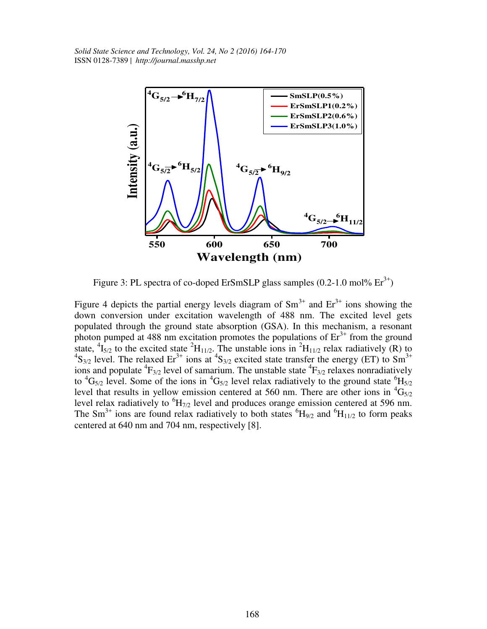

Figure 3: PL spectra of co-doped ErSmSLP glass samples  $(0.2-1.0 \text{ mol\%} \text{ Er}^{3+})$ 

Figure 4 depicts the partial energy levels diagram of  $Sm^{3+}$  and  $Er^{3+}$  ions showing the down conversion under excitation wavelength of 488 nm. The excited level gets populated through the ground state absorption (GSA). In this mechanism, a resonant photon pumped at 488 nm excitation promotes the populations of  $Er<sup>3+</sup>$  from the ground state,  ${}^{4}I_{5/2}$  to the excited state  ${}^{2}H_{11/2}$ . The unstable ions in  ${}^{2}H_{11/2}$  relax radiatively (R) to  $\text{S}_{3/2}$  level. The relaxed Er<sup>3+</sup> ions at  ${}^{4}S_{3/2}$  excited state transfer the energy (ET) to  $\text{$ ions and populate  ${}^{4}F_{3/2}$  level of samarium. The unstable state  ${}^{4}F_{3/2}$  relaxes nonradiatively to  ${}^4G_{5/2}$  level. Some of the ions in  ${}^4G_{5/2}$  level relax radiatively to the ground state  ${}^6H_{5/2}$ level that results in yellow emission centered at 560 nm. There are other ions in  ${}^{4}G_{5/2}$ level relax radiatively to  ${}^{6}H_{7/2}$  level and produces orange emission centered at 596 nm. The Sm<sup>3+</sup> ions are found relax radiatively to both states  ${}^{6}H_{9/2}$  and  ${}^{6}H_{11/2}$  to form peaks centered at 640 nm and 704 nm, respectively [8].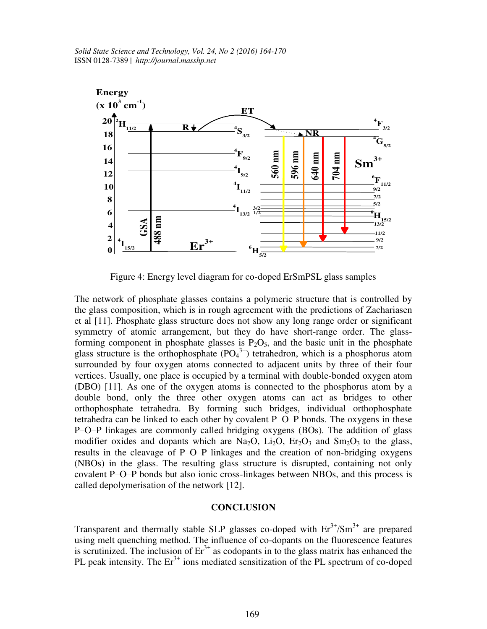

Figure 4: Energy level diagram for co-doped ErSmPSL glass samples

The network of phosphate glasses contains a polymeric structure that is controlled by the glass composition, which is in rough agreement with the predictions of Zachariasen et al [11]. Phosphate glass structure does not show any long range order or significant symmetry of atomic arrangement, but they do have short-range order. The glassforming component in phosphate glasses is  $P_2O_5$ , and the basic unit in the phosphate glass structure is the orthophosphate  $(PO<sub>4</sub><sup>3</sup>)$  tetrahedron, which is a phosphorus atom surrounded by four oxygen atoms connected to adjacent units by three of their four vertices. Usually, one place is occupied by a terminal with double-bonded oxygen atom (DBO) [11]. As one of the oxygen atoms is connected to the phosphorus atom by a double bond, only the three other oxygen atoms can act as bridges to other orthophosphate tetrahedra. By forming such bridges, individual orthophosphate tetrahedra can be linked to each other by covalent P–O–P bonds. The oxygens in these P–O–P linkages are commonly called bridging oxygens (BOs). The addition of glass modifier oxides and dopants which are Na<sub>2</sub>O, Li<sub>2</sub>O, Er<sub>2</sub>O<sub>3</sub> and Sm<sub>2</sub>O<sub>3</sub> to the glass, results in the cleavage of P–O–P linkages and the creation of non-bridging oxygens (NBOs) in the glass. The resulting glass structure is disrupted, containing not only covalent P–O–P bonds but also ionic cross-linkages between NBOs, and this process is called depolymerisation of the network [12].

# **CONCLUSION**

Transparent and thermally stable SLP glasses co-doped with  $Er^{3+}/Sm^{3+}$  are prepared using melt quenching method. The influence of co-dopants on the fluorescence features is scrutinized. The inclusion of  $Er<sup>3+</sup>$  as codopants in to the glass matrix has enhanced the PL peak intensity. The  $Er<sup>3+</sup>$  ions mediated sensitization of the PL spectrum of co-doped